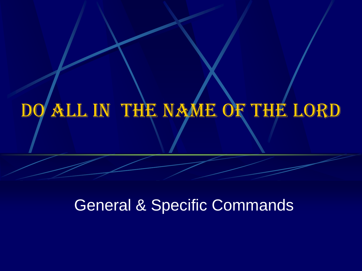# Do All In The Name of The Lord

#### General & Specific Commands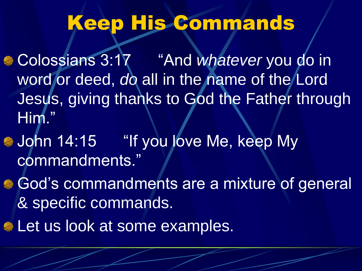### Keep His Commands

Colossians 3:17 "And *whatever* you do in word or deed, *do* all in the name of the Lord Jesus, giving thanks to God the Father through Him."

- **John 14:15** "If you love Me, keep My commandments."
- God's commandments are a mixture of general & specific commands.
- **ELET US look at some examples.**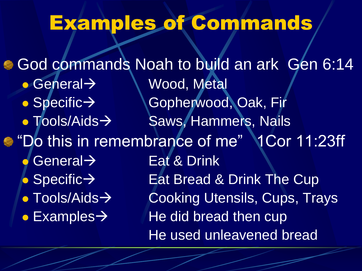# Examples of Commands

God commands Noah to build an ark Gen 6:14 General Wood, Metal  $\bullet$  Specific  $\rightarrow$  Gopherwood, Oak, Fir • Tools/Aids > Saws, Hammers, Nails **• "Do this in remembrance of me"** 1Cor 11:23ff General  $\rightarrow$  Eat & Drink  $\bullet$  Specific  $\rightarrow$  Eat Bread & Drink The Cup • Tools/Aids > Cooking Utensils, Cups, Trays  $\bullet$  Examples  $\rightarrow$  He did bread then cup He used unleavened bread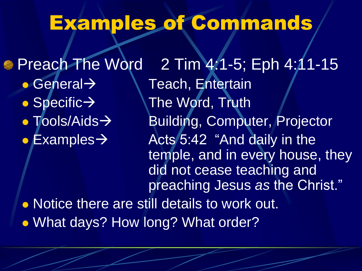### Examples of Commands

**• Preach The Word 2 Tim 4:1-5; Eph 4:11-15**  $\bullet$  General  $\rightarrow$  \ Teach, Entertain  $\bullet$  Specific  $\rightarrow$  The Word, Truth • Tools/Aids→ Building, Computer, Projector  $\bullet$  Examples  $\rightarrow$  Acts 5:42 "And daily in the temple, and in every house, they did not cease teaching and preaching Jesus *as* the Christ." • Notice there are still details to work out.

• What days? How long? What order?